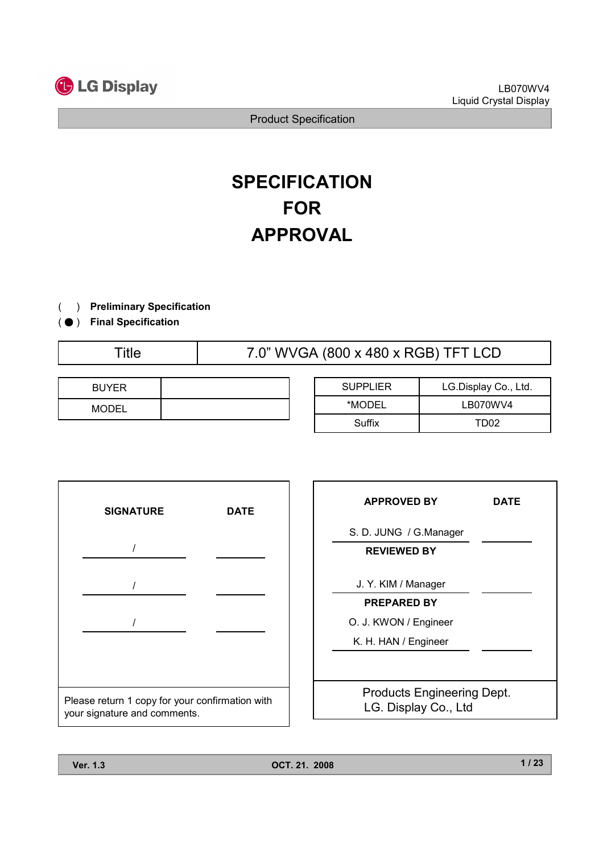

# **SPECIFICATION** FOR APPROVAL

- ) Preliminary Specification(
- ( ) Final Specification
	-

Title 7.0" WVGA (800 x 480 x RGB) TFT LCD

| <b>BUYER</b> |  |
|--------------|--|
| <b>MODEL</b> |  |

| <b>SUPPLIER</b> | LG.Display Co., Ltd. |
|-----------------|----------------------|
| *MODEL          | LB070WV4             |
| Suffix          | TD02                 |



| <b>APPROVED BY</b>                                        | <b>DATE</b> |
|-----------------------------------------------------------|-------------|
| S. D. JUNG / G.Manager                                    |             |
| <b>REVIEWED BY</b>                                        |             |
| J. Y. KIM / Manager                                       |             |
| <b>PREPARED BY</b>                                        |             |
| O. J. KWON / Engineer                                     |             |
| K. H. HAN / Engineer                                      |             |
|                                                           |             |
| <b>Products Engineering Dept.</b><br>LG. Display Co., Ltd |             |
|                                                           |             |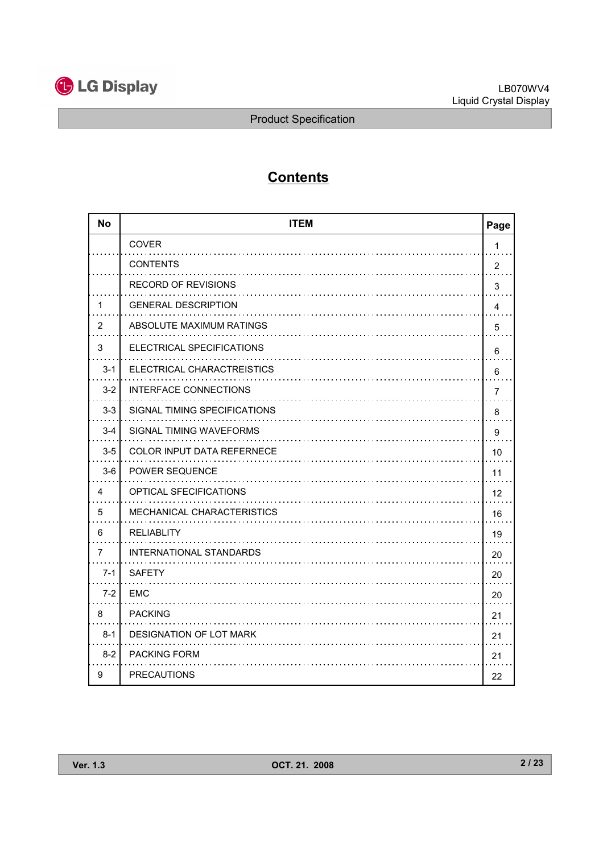

# **Contents**

| <b>No</b>      | <b>ITEM</b>                       | Page           |
|----------------|-----------------------------------|----------------|
|                | <b>COVER</b>                      | 1              |
|                | <b>CONTENTS</b>                   | $\overline{2}$ |
|                | <b>RECORD OF REVISIONS</b>        | 3              |
| 1              | <b>GENERAL DESCRIPTION</b>        | 4              |
| 2              | ABSOLUTE MAXIMUM RATINGS          | 5              |
| 3              | ELECTRICAL SPECIFICATIONS         | 6              |
| $3 - 1$        | ELECTRICAL CHARACTREISTICS        | 6              |
| $3 - 2$        | <b>INTERFACE CONNECTIONS</b>      | 7              |
| $3 - 3$        | SIGNAL TIMING SPECIFICATIONS      | 8              |
| $3 - 4$        | SIGNAL TIMING WAVEFORMS           | 9              |
| $3-5$          | <b>COLOR INPUT DATA REFERNECE</b> | 10             |
| $3-6$          | <b>POWER SEQUENCE</b>             | 11             |
| 4              | OPTICAL SFECIFICATIONS            | 12             |
| 5              | MECHANICAL CHARACTERISTICS        | 16             |
| 6              | <b>RELIABLITY</b>                 | 19             |
| $\overline{7}$ | <b>INTERNATIONAL STANDARDS</b>    | 20             |
| $7 - 1$        | <b>SAFETY</b>                     | 20             |
| $7 - 2$        | <b>EMC</b>                        | 20             |
| 8              | <b>PACKING</b>                    | 21             |
| $8 - 1$        | <b>DESIGNATION OF LOT MARK</b>    | 21             |
| $8 - 2$        | <b>PACKING FORM</b>               | 21             |
| 9              | <b>PRECAUTIONS</b>                | 22             |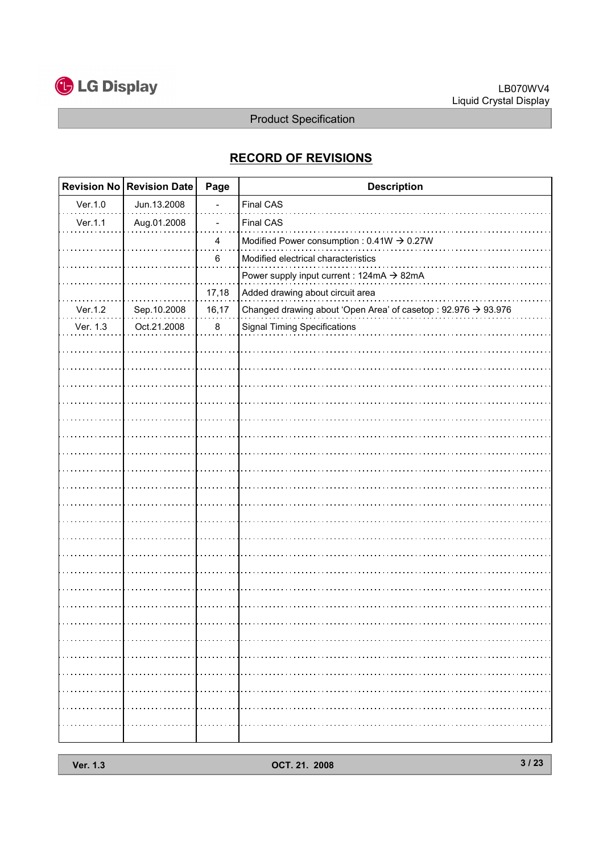

# RECORD OF REVISIONS

|          | Revision No Revision Date | Page  | <b>Description</b>                                             |
|----------|---------------------------|-------|----------------------------------------------------------------|
| Ver.1.0  | Jun.13.2008               |       | Final CAS                                                      |
| Ver.1.1  | Aug.01.2008               |       | Final CAS                                                      |
|          |                           | 4     | Modified Power consumption : $0.41W \rightarrow 0.27W$         |
|          |                           | 6     | Modified electrical characteristics                            |
|          |                           |       | Power supply input current : 124mA $\rightarrow$ 82mA          |
|          |                           | 17,18 | Added drawing about circuit area                               |
| Ver.1.2  | Sep.10.2008               | 16,17 | Changed drawing about 'Open Area' of casetop : 92.976 → 93.976 |
| Ver. 1.3 | Oct.21.2008               | 8     | <b>Signal Timing Specifications</b>                            |
|          |                           |       |                                                                |
|          |                           |       |                                                                |
|          |                           |       |                                                                |
|          |                           |       |                                                                |
|          |                           |       |                                                                |
|          |                           |       |                                                                |
|          |                           |       |                                                                |
|          |                           |       |                                                                |
|          |                           |       |                                                                |
|          |                           |       |                                                                |
|          |                           |       |                                                                |
|          |                           |       |                                                                |
|          |                           |       |                                                                |
|          |                           |       |                                                                |
|          |                           |       |                                                                |
|          |                           |       |                                                                |
|          |                           |       |                                                                |
|          |                           |       |                                                                |
|          |                           |       |                                                                |
|          |                           |       |                                                                |
|          |                           |       |                                                                |
|          |                           |       |                                                                |
|          |                           |       |                                                                |
|          |                           |       |                                                                |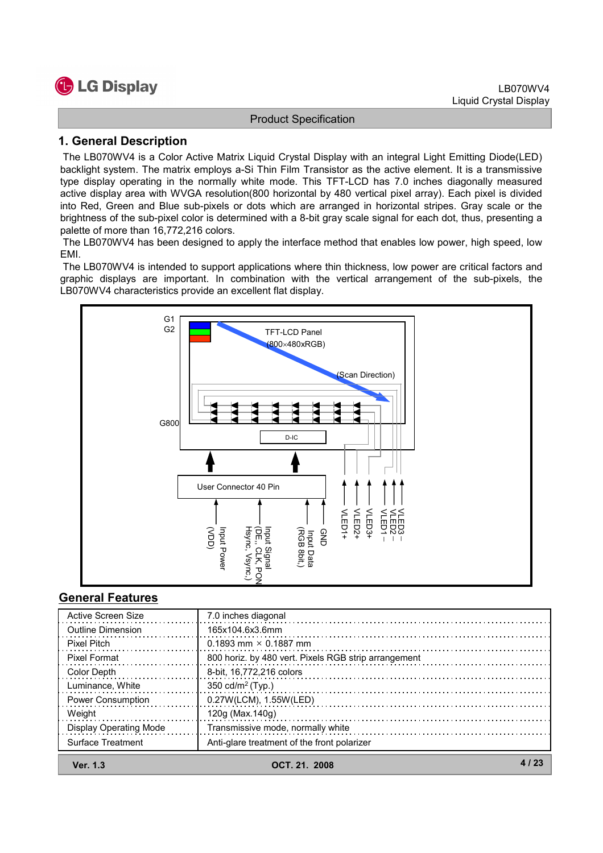

## 1. General Description

The LB070WV4 is a Color Active Matrix Liquid Crystal Display with an integral Light Emitting Diode(LED) backlight system. The matrix employs a-Si Thin Film Transistor as the active element. It is a transmissive type display operating in the normally white mode. This TFT-LCD has 7.0 inches diagonally measured active display area with WVGA resolution(800 horizontal by 480 vertical pixel array). Each pixel is divided into Red, Green and Blue sub-pixels or dots which are arranged in horizontal stripes. Gray scale or the brightness of the sub-pixel color is determined with a 8-bit gray scale signal for each dot, thus, presenting a palette of more than 16,772,216 colors.

The LB070WV4 has been designed to apply the interface method that enables low power, high speed, low EMI.

The LB070WV4 is intended to support applications where thin thickness, low power are critical factors and graphic displays are important. In combination with the vertical arrangement of the sub-pixels, the LB070WV4 characteristics provide an excellent flat display.



## General Features

| <b>Ver. 1.3</b>               | OCT. 21. 2008                                        |  |
|-------------------------------|------------------------------------------------------|--|
| Surface Treatment             | Anti-glare treatment of the front polarizer          |  |
| <b>Display Operating Mode</b> | Transmissive mode, normally white                    |  |
| Weight                        | 120g (Max.140g)                                      |  |
| <b>Power Consumption</b>      | 0.27W(LCM), 1.55W(LED)                               |  |
| Luminance, White              | 350 cd/m <sup>2</sup> (Typ.)                         |  |
| Color Depth                   | 8-bit, 16,772,216 colors                             |  |
| Pixel Format                  | 800 horiz. by 480 vert. Pixels RGB strip arrangement |  |
| Pixel Pitch                   | 0.1893 mm $\times$ 0.1887 mm                         |  |
| <b>Outline Dimension</b>      | 165x104.6x3.6mm                                      |  |
| Active Screen Size            | 7.0 inches diagonal                                  |  |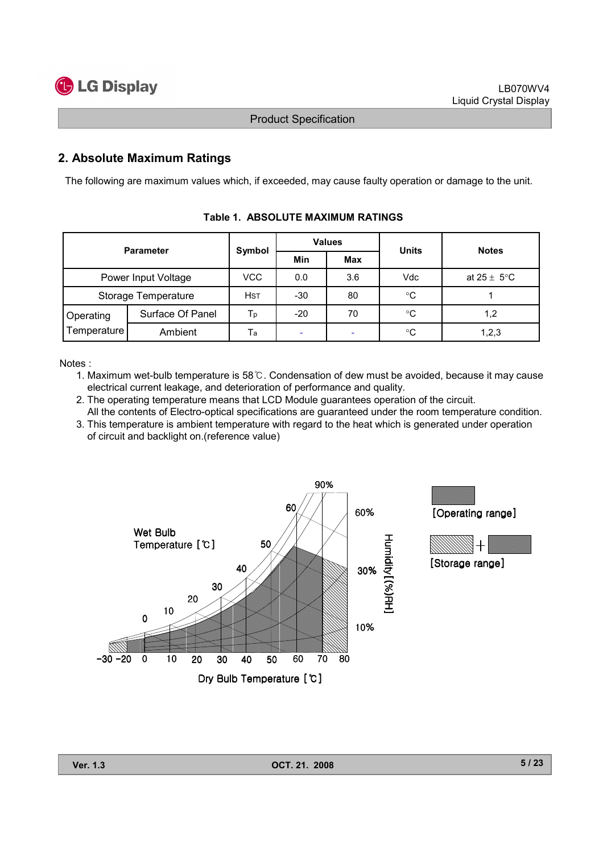

# 2. Absolute Maximum Ratings

The following are maximum values which, if exceeded, may cause faulty operation or damage to the unit.

| <b>Parameter</b>    |                  | Symbol     | <b>Values</b>            |            | <b>Units</b> | <b>Notes</b>            |  |
|---------------------|------------------|------------|--------------------------|------------|--------------|-------------------------|--|
|                     |                  |            | Min                      | <b>Max</b> |              |                         |  |
| Power Input Voltage |                  | <b>VCC</b> | 0.0                      | 3.6        | Vdc          | at $25 \pm 5^{\circ}$ C |  |
| Storage Temperature |                  | <b>HST</b> | $-30$                    | 80         | $^{\circ}C$  |                         |  |
| Operating           | Surface Of Panel | Тp         | $-20$                    | 70         | ℃            | 1,2                     |  |
| Temperature         | Ambient          | Ta         | $\overline{\phantom{a}}$ | -          | $^{\circ}C$  | 1,2,3                   |  |

Table 1. ABSOLUTE MAXIMUM RATINGS

Notes :

- 1. Maximum wet-bulb temperature is 58 $\degree$ C. Condensation of dew must be avoided, because it may cause electrical current leakage, and deterioration of performance and quality.
- 2. The operating temperature means that LCD Module guarantees operation of the circuit.
- All the contents of Electro-optical specifications are guaranteed under the room temperature condition. 3. This temperature is ambient temperature with regard to the heat which is generated under operation

of circuit and backlight on.(reference value)

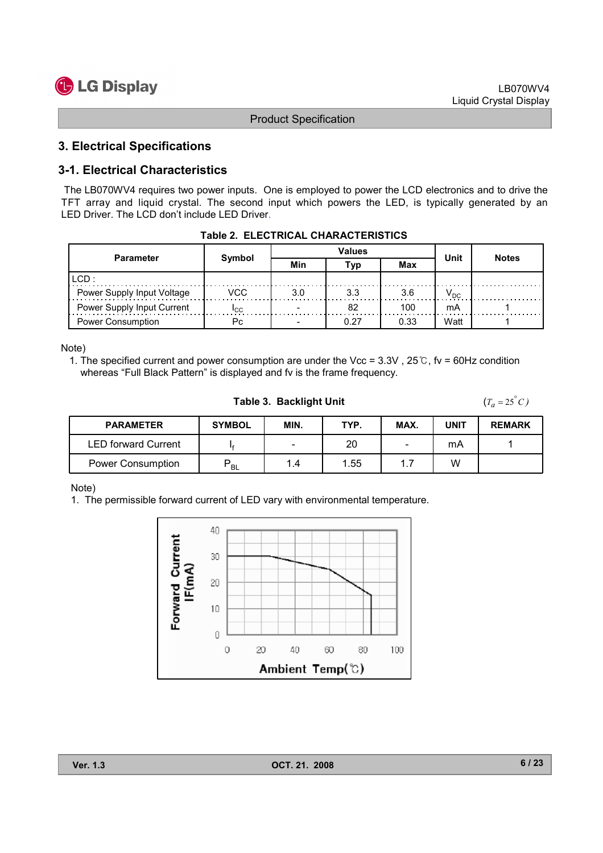# 3. Electrical Specifications

# 3-1. Electrical Characteristics

The LB070WV4 requires two power inputs. One is employed to power the LCD electronics and to drive the TFT array and liquid crystal. The second input which powers the LED, is typically generated by an LED Driver. The LCD don't include LED Driver.

| <b>Parameter</b>           |        |     | <b>Values</b> | Unit | <b>Notes</b> |  |  |
|----------------------------|--------|-----|---------------|------|--------------|--|--|
|                            | Symbol | Min | Tvp           | Max  |              |  |  |
| ILCD :                     |        |     |               |      |              |  |  |
| Power Supply Input Voltage | VCC    | 3.0 | 3.3           |      | $V_{DC}$     |  |  |
| Power Supply Input Current | Icc.   |     |               | 100  | mA           |  |  |
| <b>Power Consumption</b>   | Рc     |     |               | 0.33 | Watt         |  |  |

|  | Table 2. ELECTRICAL CHARACTERISTICS |
|--|-------------------------------------|
|  |                                     |

Note)

1. The specified current and power consumption are under the Vcc =  $3.3V$ ,  $25^\circ$ C, fv = 60Hz condition whereas "Full Black Pattern" is displayed and fv is the frame frequency.

Table 3. Backlight Unit

 $(T_a = 25^\circ C)$ 

| <b>PARAMETER</b>         | <b>SYMBOL</b> | MIN.   | TYP. | MAX.   | UNIT | <b>REMARK</b> |
|--------------------------|---------------|--------|------|--------|------|---------------|
| LED forward Current      |               | $\sim$ | 20   | $\sim$ | mA   |               |
| <b>Power Consumption</b> | <b>BL</b>     | 4. ا   | 1.55 | .      | W    |               |

Note)

1. The permissible forward current of LED vary with environmental temperature.

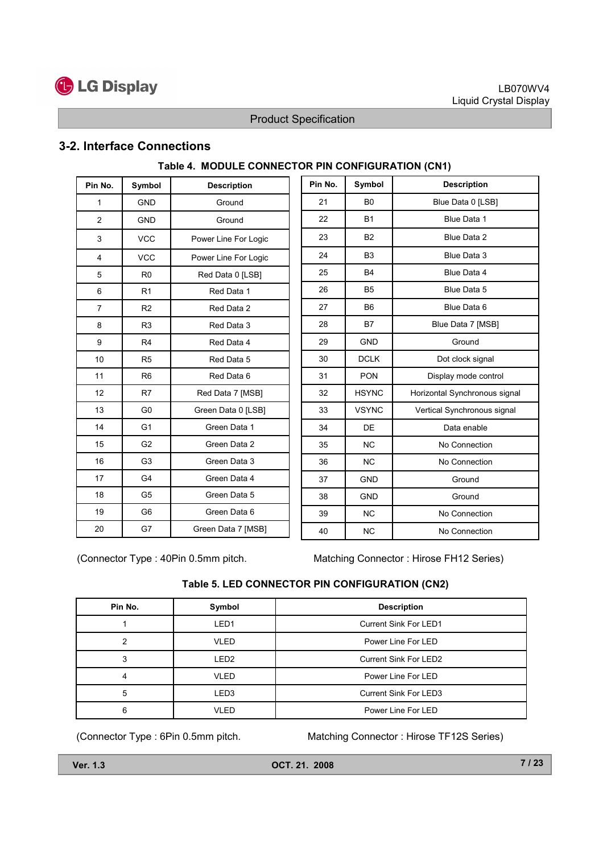

## 3-2. Interface Connections

| Pin No. | Symbol         | <b>Description</b>   |
|---------|----------------|----------------------|
| 1       | <b>GND</b>     | Ground               |
| 2       | <b>GND</b>     | Ground               |
| 3       | <b>VCC</b>     | Power Line For Logic |
| 4       | <b>VCC</b>     | Power Line For Logic |
| 5       | R <sub>0</sub> | Red Data 0 [LSB]     |
| 6       | R <sub>1</sub> | Red Data 1           |
| 7       | R <sub>2</sub> | Red Data 2           |
| 8       | R <sub>3</sub> | Red Data 3           |
| 9       | R <sub>4</sub> | Red Data 4           |
| 10      | R <sub>5</sub> | Red Data 5           |
| 11      | R <sub>6</sub> | Red Data 6           |
| 12      | R7             | Red Data 7 [MSB]     |
| 13      | G <sub>0</sub> | Green Data 0 [LSB]   |
| 14      | G <sub>1</sub> | Green Data 1         |
| 15      | G <sub>2</sub> | Green Data 2         |
| 16      | G <sub>3</sub> | Green Data 3         |
| 17      | G4             | Green Data 4         |
| 18      | G5             | Green Data 5         |
| 19      | G6             | Green Data 6         |
| 20      | G7             | Green Data 7 [MSB]   |

# Table 4. MODULE CONNECTOR PIN CONFIGURATION (CN1)

| Pin No. | Symbol         | <b>Description</b>            |
|---------|----------------|-------------------------------|
| 21      | B <sub>0</sub> | Blue Data 0 [LSB]             |
| 22      | <b>B1</b>      | Blue Data 1                   |
| 23      | <b>B2</b>      | Blue Data 2                   |
| 24      | B <sub>3</sub> | Blue Data 3                   |
| 25      | <b>B4</b>      | Blue Data 4                   |
| 26      | B <sub>5</sub> | Blue Data 5                   |
| 27      | B <sub>6</sub> | Blue Data 6                   |
| 28      | <b>B7</b>      | Blue Data 7 [MSB]             |
| 29      | <b>GND</b>     | Ground                        |
| 30      | <b>DCLK</b>    | Dot clock signal              |
| 31      | <b>PON</b>     | Display mode control          |
| 32      | <b>HSYNC</b>   | Horizontal Synchronous signal |
| 33      | <b>VSYNC</b>   | Vertical Synchronous signal   |
| 34      | DE             | Data enable                   |
| 35      | <b>NC</b>      | No Connection                 |
| 36      | <b>NC</b>      | No Connection                 |
| 37      | <b>GND</b>     | Ground                        |
| 38      | <b>GND</b>     | Ground                        |
| 39      | <b>NC</b>      | No Connection                 |
| 40      | <b>NC</b>      | No Connection                 |

(Connector Type : 40Pin 0.5mm pitch. Matching Connector : Hirose FH12 Series)

#### Table 5. LED CONNECTOR PIN CONFIGURATION (CN2)

| Pin No. | Symbol           | <b>Description</b>           |
|---------|------------------|------------------------------|
|         | LED <sub>1</sub> | <b>Current Sink For LED1</b> |
|         | <b>VLED</b>      | Power Line For LED           |
| 3       | LED <sub>2</sub> | <b>Current Sink For LED2</b> |
| 4       | VLED             | Power Line For LED           |
| 5       | LED3             | <b>Current Sink For LED3</b> |
| 6       | <b>VLED</b>      | Power Line For LED           |

(Connector Type : 6Pin 0.5mm pitch. Matching Connector : Hirose TF12S Series)

Ver. 1.3 OCT. 21. 2008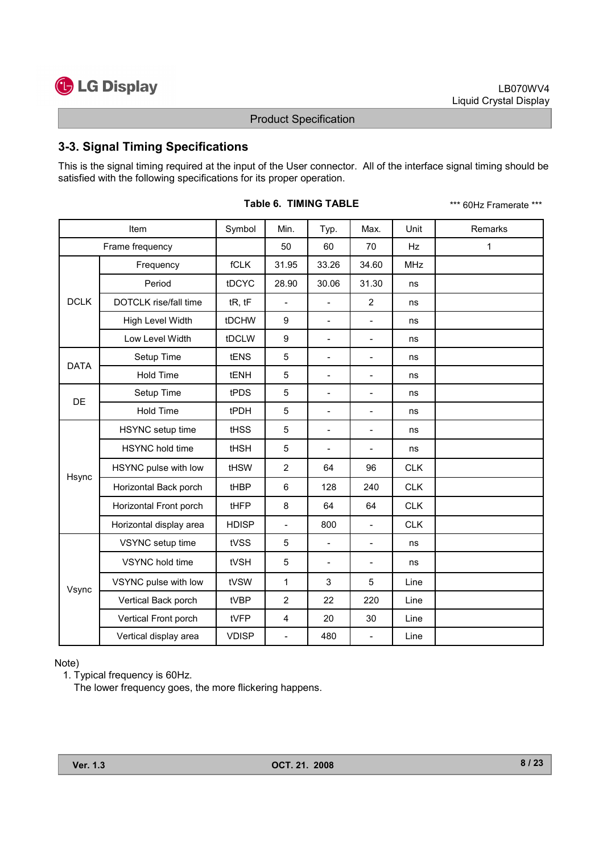

# 3-3. Signal Timing Specifications

This is the signal timing required at the input of the User connector. All of the interface signal timing should be satisfied with the following specifications for its proper operation.

|                            | Item                    | Symbol       | Min.                     | Typ.                     | Max.                     | Unit       | Remarks |
|----------------------------|-------------------------|--------------|--------------------------|--------------------------|--------------------------|------------|---------|
|                            | Frame frequency         |              | 50                       | 60                       | 70                       | Hz         | 1       |
|                            | Frequency               | fCLK         | 31.95                    | 33.26                    | 34.60                    | <b>MHz</b> |         |
|                            | Period                  | tDCYC        | 28.90                    | 30.06                    | 31.30                    | ns         |         |
| <b>DCLK</b>                | DOTCLK rise/fall time   | tR, tF       | $\overline{a}$           | $\overline{a}$           | $\overline{2}$           | ns         |         |
|                            | High Level Width        | tDCHW        | 9                        | $\overline{a}$           | $\overline{\phantom{0}}$ | ns         |         |
|                            | Low Level Width         | tDCLW        | 9                        | $\overline{a}$           | $\overline{a}$           | ns         |         |
|                            | Setup Time              | tENS         | 5                        | $\overline{\phantom{0}}$ | $\overline{\phantom{0}}$ | ns         |         |
|                            | Hold Time               | tENH         | 5                        | $\overline{a}$           | $\overline{\phantom{0}}$ | ns         |         |
|                            | Setup Time              | tPDS         | 5                        | $\overline{\phantom{0}}$ | $\overline{\phantom{a}}$ | ns         |         |
|                            | Hold Time               | tPDH         | 5                        | $\overline{a}$           | $\overline{a}$           | ns         |         |
| <b>DATA</b><br>DE<br>Hsync | HSYNC setup time        | <b>tHSS</b>  | 5                        | $\overline{\phantom{0}}$ | $\qquad \qquad -$        | ns         |         |
|                            | HSYNC hold time         | <b>tHSH</b>  | 5                        | $\overline{a}$           | $\qquad \qquad -$        | ns         |         |
|                            | HSYNC pulse with low    | tHSW         | $\overline{2}$           | 64                       | 96                       | <b>CLK</b> |         |
|                            | Horizontal Back porch   | tHBP         | 6                        | 128                      | 240                      | <b>CLK</b> |         |
|                            | Horizontal Front porch  | tHFP         | 8                        | 64                       | 64                       | <b>CLK</b> |         |
|                            | Horizontal display area | <b>HDISP</b> | $\overline{a}$           | 800                      | $\blacksquare$           | <b>CLK</b> |         |
|                            | VSYNC setup time        | tVSS         | 5                        | $\overline{\phantom{0}}$ | $\overline{\phantom{0}}$ | ns         |         |
|                            | VSYNC hold time         | tVSH         | 5                        | $\overline{\phantom{0}}$ | $\overline{\phantom{a}}$ | ns         |         |
| Vsync                      | VSYNC pulse with low    | tVSW         | $\mathbf{1}$             | 3                        | 5                        | Line       |         |
|                            | Vertical Back porch     | tVBP         | $\overline{2}$           | 22                       | 220                      | Line       |         |
|                            | Vertical Front porch    | tVFP         | 4                        | 20                       | 30                       | Line       |         |
|                            | Vertical display area   | <b>VDISP</b> | $\overline{\phantom{0}}$ | 480                      | $\overline{a}$           | Line       |         |

|  | Table 6. TIMING TABLE |  |
|--|-----------------------|--|
|--|-----------------------|--|

\*\*\* 60Hz Framerate \*\*\*

Note)

1. Typical frequency is 60Hz.

The lower frequency goes, the more flickering happens.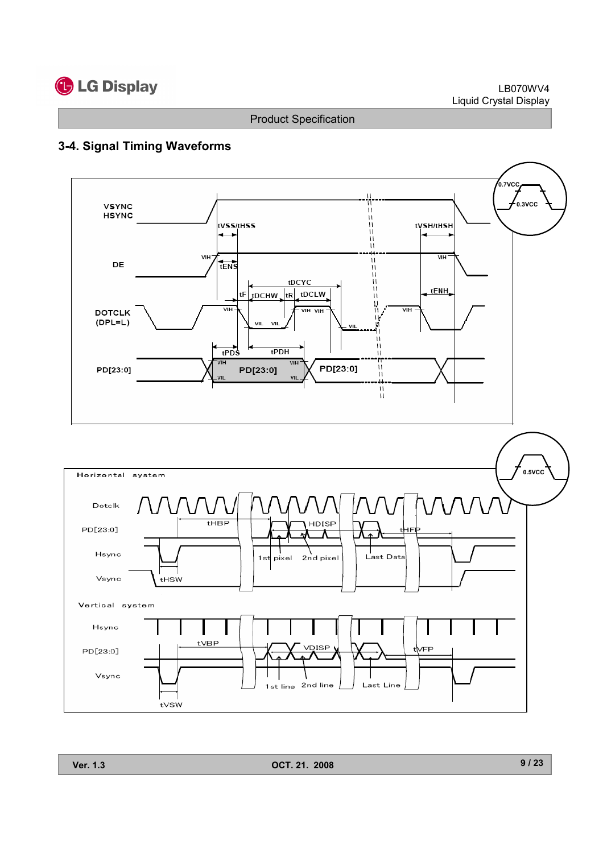

#### LB070WV4 Liquid Crystal Display

Product Specification

# 3-4. Signal Timing Waveforms





Ver. 1.3 OCT. 21. 2008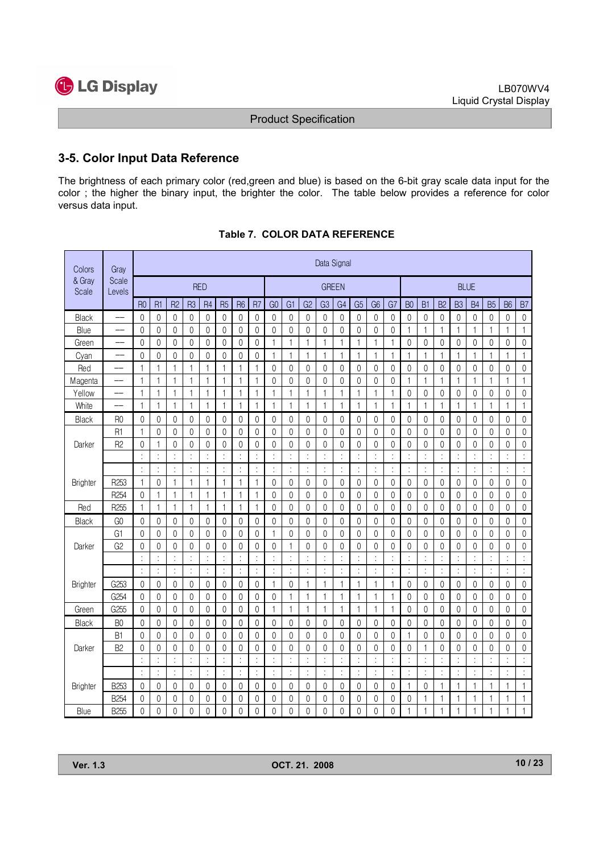

 $\blacksquare$ 

Product Specification

# 3-5. Color Input Data Reference

The brightness of each primary color (red,green and blue) is based on the 6-bit gray scale data input for the color ; the higher the binary input, the brighter the color. The table below provides a reference for color versus data input.

| Colors          | Gray                     |                | Data Signal          |                |                |                |                |                      |                  |                  |                  |                |                |                |                |                      |                  |                      |                  |                  |                  |                  |                  |                  |                     |
|-----------------|--------------------------|----------------|----------------------|----------------|----------------|----------------|----------------|----------------------|------------------|------------------|------------------|----------------|----------------|----------------|----------------|----------------------|------------------|----------------------|------------------|------------------|------------------|------------------|------------------|------------------|---------------------|
| & Gray<br>Scale | Scale<br>Levels          |                |                      |                |                | <b>RED</b>     |                |                      |                  |                  |                  |                | <b>GREEN</b>   |                |                |                      |                  | <b>BLUE</b>          |                  |                  |                  |                  |                  |                  |                     |
|                 |                          | <b>R0</b>      | R <sub>1</sub>       | R <sub>2</sub> | R <sub>3</sub> | R <sub>4</sub> | R <sub>5</sub> | R <sub>6</sub>       | R <sub>7</sub>   | G <sub>0</sub>   | G <sub>1</sub>   | G <sub>2</sub> | G <sub>3</sub> | G <sub>4</sub> | G <sub>5</sub> | G <sub>6</sub>       | G7               | B <sub>0</sub>       | B <sub>1</sub>   | B <sub>2</sub>   | B <sub>3</sub>   | B <sub>4</sub>   | <b>B5</b>        | <b>B6</b>        | B <sub>7</sub>      |
| Black           |                          | $\mathbf{0}$   | $\mathbf 0$          | 0              | 0              | 0              | 0              | $\boldsymbol{0}$     | $\boldsymbol{0}$ | $\boldsymbol{0}$ | $\mathbf{0}$     | 0              | 0              | $\mathbf 0$    | 0              | $\boldsymbol{0}$     | $\mathbf 0$      | 0                    | $\boldsymbol{0}$ | $\boldsymbol{0}$ | $\boldsymbol{0}$ | $\boldsymbol{0}$ | $\mathbf 0$      | $\mathbf 0$      | $\mathbf 0$         |
| Blue            |                          | 0              | $\mathbf{0}$         | $\mathbf{0}$   | 0              | 0              | $\mathbf{0}$   | $\mathbf{0}$         | $\mathbf{0}$     | $\mathbf{0}$     | $\mathbf{0}$     | 0              | $\mathbf{0}$   | $\mathbf{0}$   | $\mathbf{0}$   | $\mathbf{0}$         | $\mathbf{0}$     | 1                    | $\mathbf{1}$     | $\mathbf{1}$     | $\mathbf{1}$     | 1                | $\mathbf{1}$     | 1                | $\mathbf{1}$        |
| Green           |                          | 0              | $\mathbf 0$          | 0              | 0              | 0              | $\mathbf{0}$   | $\mathbf{0}$         | 0                | $\mathbf{1}$     | $\mathbf{1}$     | 1              | $\mathbf{1}$   | $\mathbf{1}$   | $\mathbf{1}$   | 1                    | 1                | $\mathbf{0}$         | $\mathbf{0}$     | 0                | 0                | 0                | 0                | 0                | $\mathbf 0$         |
| Cyan            |                          | $\mathbf{0}$   | $\mathbf{0}$         | 0              | 0              | 0              | $\mathbf{0}$   | $\mathbf{0}$         | 0                | $\mathbf{1}$     | $\mathbf{1}$     | 1              | $\mathbf{1}$   | $\mathbf{1}$   | $\mathbf{1}$   | 1                    | 1                | $\mathbf{1}$         | $\mathbf 1$      | $\mathbf{1}$     | 1                | 1                | $\mathbf{1}$     | 1                | $\mathbf{1}$        |
| Red             |                          | 1              | $\mathbf{1}$         | 1              | 1              | 1              | 1              | 1                    | 1                | $\mathbf{0}$     | 0                | 0              | $\theta$       | 0              | 0              | $\theta$             | 0                | $\mathbf{0}$         | $\theta$         | 0                | 0                | $\mathbf{0}$     | 0                | 0                | $\mathbf 0$         |
| Magenta         | $\overline{\phantom{a}}$ | 1              | $\mathbf{1}$         | 1              | 1              | 1              | 1              | 1                    | 1                | $\mathbf{0}$     | $\mathbf{0}$     | 0              | $\mathbf{0}$   | $\mathbf 0$    | $\mathbf 0$    | $\mathbf{0}$         | 0                | 1                    | 1                | 1                | 1                | 1                | 1                | 1                | $\mathbf{1}$        |
| Yellow          | $\qquad \qquad -$        | 1              | $\mathbf{1}$         | 1              | 1              | 1              | 1              | 1                    | 1                | 1                | $\mathbf{1}$     | 1              | 1              | 1              | 1              | 1                    | 1                | 0                    | $\mathbf{0}$     | 0                | 0                | 0                | 0                | 0                | $\mathbf 0$         |
| White           | $\qquad \qquad -$        | 1              | $\mathbf{1}$         | 1              | 1              | 1              | 1              | 1                    | 1                | 1                | 1                | 1              | $\mathbf{1}$   | 1              | 1              | 1                    | 1                | 1                    | 1                | 1                | 1                | 1                | $\mathbf{1}$     | 1                | $\mathbf{1}$        |
| Black           | R <sub>0</sub>           | $\mathbf{0}$   | $\mathbf{0}$         | $\mathbf{0}$   | 0              | 0              | 0              | $\overline{0}$       | 0                | $\mathbf{0}$     | $\mathbf{0}$     | 0              | $\mathbf{0}$   | $\mathbf{0}$   | $\mathbf{0}$   | $\mathbf{0}$         | $\mathbf{0}$     | $\mathbf{0}$         | $\mathbf{0}$     | 0                | $\mathbf{0}$     | $\mathbf{0}$     | $\mathbf{0}$     | $\mathbf 0$      | $\mathsf{O}\xspace$ |
|                 | R <sub>1</sub>           | 1              | $\mathsf{O}\xspace$  | 0              | 0              | $\mathbf{0}$   | 0              | $\mathbf{0}$         | $\mathbf{0}$     | $\mathbf{0}$     | $\mathbf{0}$     | 0              | $\mathbf{0}$   | $\mathbf{0}$   | $\mathbf{0}$   | $\mathbf{0}$         | 0                | 0                    | $\mathbf{0}$     | $\mathbf 0$      | $\mathbf{0}$     | $\mathbf{0}$     | $\mathbf 0$      | $\mathbf 0$      | $\mathbf 0$         |
| Darker          | R <sub>2</sub>           | $\mathbf{0}$   | 1                    | 0              | $\mathbf{0}$   | 0              | $\mathbf 0$    | $\mathbf 0$          | $\mathbf 0$      | $\mathbf{0}$     | $\boldsymbol{0}$ | 0              | $\mathbf 0$    | $\mathbf{0}$   | 0              | $\mathbf{0}$         | $\mathbf{0}$     | $\mathsf{O}\xspace$  | $\mathbf{0}$     | $\boldsymbol{0}$ | $\mathbf 0$      | $\mathbf{0}$     | $\boldsymbol{0}$ | $\mathbf 0$      | $\mathbf 0$         |
|                 |                          |                | t,                   | t              | t              |                |                | ÷                    | t                |                  | ÷                |                |                | ÷              | t              | t                    | $\ddot{\cdot}$   | t                    |                  | ÷                | $\ddot{\cdot}$   |                  | t                |                  | ÷                   |
|                 |                          |                | ł,                   | t              | t              |                |                | ł,                   | t                | $\vdots$         | ł,               | ÷              | t              | ł,             | ÷              | $\ddot{\phantom{a}}$ | $\vdots$         | $\ddot{\cdot}$       | t                | ł,               | ÷                | $\colon$         | t,               |                  | ł,                  |
| <b>Brighter</b> | R <sub>253</sub>         | 1              | $\mathbf{0}$         | 1              | $\mathbf{1}$   | 1              | 1              | 1                    | $\mathbf{1}$     | $\mathbf{0}$     | $\mathbf{0}$     | $\mathbf{0}$   | $\mathbf{0}$   | $\mathbf{0}$   | $\mathbf{0}$   | $\mathbf{0}$         | $\mathbf{0}$     | $\mathbf{0}$         | $\mathbf{0}$     | $\mathbf{0}$     | $\mathbf{0}$     | $\mathbf{0}$     | $\mathbf{0}$     | $\mathbf{0}$     | $\mathbf{0}$        |
|                 | R <sub>254</sub>         | $\overline{0}$ | $\mathbf{1}$         | 1              | $\mathbf{1}$   | 1              | $\mathbf{1}$   | $\mathbf{1}$         | $\mathbf{1}$     | $\mathbf{0}$     | $\mathbf{0}$     | $\mathbf 0$    | $\mathbf{0}$   | $\mathbf{0}$   | $\mathbf{0}$   | $\mathbf{0}$         | $\mathbf{0}$     | $\mathbf{0}$         | $\mathbf{0}$     | $\mathbf{0}$     | $\mathbf 0$      | $\mathbf{0}$     | $\mathbf{0}$     | $\mathbf 0$      | $\boldsymbol{0}$    |
| Red             | R <sub>255</sub>         | $\mathbf{1}$   | $\mathbf{1}$         | $\mathbf{1}$   | $\mathbf{1}$   | $\mathbf{1}$   | $\mathbf{1}$   | $\mathbf{1}$         | $\overline{1}$   | $\overline{0}$   | $\boldsymbol{0}$ | $\mathbf 0$    | $\mathbf 0$    | $\mathbf{0}$   | $\mathbf{0}$   | $\boldsymbol{0}$     | $\boldsymbol{0}$ | $\mathsf{O}\xspace$  | $\mathbf 0$      | $\mathbf 0$      | $\mathbf 0$      | $\mathbf{0}$     | $\mathbf 0$      | $\boldsymbol{0}$ | $\mathbf 0$         |
| Black           | G <sub>0</sub>           | $\mathbf{0}$   | $\mathbf 0$          | 0              | $\mathbf{0}$   | 0              | 0              | $\mathbf{0}$         | $\mathbf{0}$     | $\mathbf{0}$     | $\mathbf{0}$     | $\mathbf{0}$   | $\mathbf{0}$   | $\mathbf{0}$   | $\mathbf{0}$   | $\mathbf{0}$         | $\mathbf{0}$     | $\mathbf{0}$         | $\mathbf{0}$     | 0                | $\mathbf{0}$     | $\mathbf{0}$     | $\mathbf{0}$     | $\mathbf 0$      | $\mathbf 0$         |
|                 | G1                       | $\mathbf{0}$   | 0                    | 0              | 0              | 0              | 0              | $\mathbf{0}$         | $\theta$         | 1                | $\mathbf{0}$     | 0              | 0              | $\mathbf{0}$   | 0              | $\mathbf{0}$         | 0                | 0                    | 0                | $\mathbf{0}$     | $\mathbf{0}$     | $\mathbf{0}$     | 0                | 0                | $\boldsymbol{0}$    |
| Darker          | G2                       | $\Omega$       | 0                    | 0              | $\mathbf{0}$   | 0              | 0              | $\mathbf{0}$         | $\theta$         | $\theta$         | 1                | 0              | 0              | $\mathbf{0}$   | $\Omega$       | $\theta$             | $\mathbf{0}$     | $\mathbf{0}$         | $\mathbf{0}$     | $\theta$         | 0                | $\mathbf{0}$     | $\Omega$         | 0                | $\mathbf 0$         |
|                 |                          |                | $\ddot{\phantom{a}}$ | t              | $\ddot{\cdot}$ | ÷              | t              | $\ddot{\phantom{a}}$ | ÷                | $\vdots$         | ÷                | ÷              | ÷              | ÷              | ÷              | $\ddot{\cdot}$       | $\vdots$         | $\vdots$             | ÷                | ÷                | ÷                | $\vdots$         | t                | ċ                | ÷                   |
|                 |                          | $\ddot{\cdot}$ | ł,                   | t              | $\ddot{\cdot}$ | t              | $\ddot{\cdot}$ | $\vdots$             | $\ddot{\cdot}$   | $\ddot{\cdot}$   | ÷                | t              | t              | $\ddot{\cdot}$ | t              | $\vdots$             | $\vdots$         | $\vdots$             | ÷                | $\ddot{\cdot}$   | $\vdots$         | $\vdots$         | ł,               |                  | ÷                   |
| <b>Brighter</b> | G253                     | $\mathbf 0$    | $\mathbf 0$          | 0              | 0              | 0              | $\mathbf{0}$   | $\mathbf{0}$         | $\mathbf 0$      | $\mathbf{1}$     | $\mathbf{0}$     | 1              | $\mathbf{1}$   | $\mathbf{1}$   | 1              | $\mathbf{1}$         | 1                | $\mathbf{0}$         | $\mathbf{0}$     | $\mathbf{0}$     | 0                | $\mathbf{0}$     | 0                | 0                | $\mathbf 0$         |
|                 | G254                     | 0              | $\mathbf 0$          | 0              | 0              | 0              | 0              | $\mathbf{0}$         | $\mathbf 0$      | $\mathbf{0}$     | $\mathbf{1}$     | 1              | $\mathbf{1}$   | $\mathbf{1}$   | 1              | 1                    | 1                | $\mathbf{0}$         | $\mathbf{0}$     | $\mathbf{0}$     | 0                | 0                | $\mathbf 0$      | 0                | $\mathbf 0$         |
| Green           | G255                     | $\mathbf{0}$   | $\mathbf{0}$         | 0              | 0              | $\Omega$       | $\mathbf{0}$   | $\mathbf{0}$         | $\mathbf{0}$     | 1                | $\mathbf{1}$     | 1              | $\mathbf{1}$   | $\mathbf{1}$   | 1              | $\mathbf{1}$         | 1                | $\mathbf{0}$         | $\mathbf{0}$     | $\mathbf{0}$     | 0                | $\mathbf{0}$     | $\mathbf{0}$     | $\mathbf{0}$     | $\mathsf{O}\xspace$ |
| Black           | B <sub>0</sub>           | $\mathbf{0}$   | $\mathbf{0}$         | 0              | 0              | 0              | 0              | $\mathbf 0$          | $\mathbf{0}$     | $\mathbf{0}$     | $\mathbf{0}$     | 0              | $\mathbf{0}$   | $\mathbf{0}$   | $\mathbf{0}$   | $\mathbf{0}$         | $\mathbf{0}$     | $\mathbf{0}$         | $\mathbf{0}$     | $\mathbf{0}$     | $\mathbf{0}$     | $\theta$         | $\mathbf{0}$     | $\mathbf 0$      | $\mathbf 0$         |
|                 | B <sub>1</sub>           | $\mathbf 0$    | $\mathsf{O}\xspace$  | 0              | 0              | 0              | 0              | $\mathbf 0$          | 0                | $\mathbf{0}$     | $\mathbf{0}$     | 0              | $\mathbf{0}$   | $\mathbf{0}$   | 0              | $\mathbf{0}$         | $\mathbf{0}$     | 1                    | $\mathbf 0$      | $\mathbf{0}$     | 0                | $\mathbf{0}$     | 0                | $\mathbf 0$      | $\mathbf 0$         |
| Darker          | B <sub>2</sub>           | 0              | $\mathbf 0$          | 0              | $\mathbf{0}$   | 0              | 0              | $\mathbf 0$          | 0                | $\mathbf{0}$     | $\mathbf{0}$     | 0              | 0              | $\mathbf{0}$   | 0              | 0                    | $\mathbf{0}$     | $\mathbf{0}$         | 1                | $\mathbf{0}$     | 0                | 0                | 0                | 0                | $\mathbf 0$         |
|                 |                          |                | $\vdots$             | Ì              |                |                |                | t                    | t                |                  | ÷                |                |                | t              |                | t                    | ÷                |                      |                  | $\ddot{\cdot}$   | t                |                  |                  |                  | t                   |
|                 |                          | ÷              | $\ddot{\phantom{a}}$ | t              | $\ddot{\cdot}$ | ŀ              | ÷              | $\vdots$             | $\ddot{\cdot}$   | ÷                | ÷                | ÷              | ÷              | t              | ÷              | $\vdots$             | $\vdots$         | $\ddot{\phantom{0}}$ | ÷                | $\ddot{\cdot}$   | ÷                | $\vdots$         | ÷                |                  | ÷                   |
| <b>Brighter</b> | <b>B253</b>              | $\mathbf 0$    | $\mathbf 0$          | 0              | 0              | 0              | 0              | $\mathbf 0$          | $\mathbf 0$      | $\mathbf{0}$     | 0                | 0              | 0              | 0              | 0              | $\mathbf{0}$         | 0                | 1                    | $\mathbf{0}$     | 1                | $\mathbf{1}$     | 1                | $\mathbf{1}$     | 1                | $\mathbf{1}$        |
|                 | <b>B254</b>              | 0              | 0                    | 0              | 0              | 0              | 0              | 0                    | 0                | 0                | $\mathbf{0}$     | 0              | 0              | 0              | 0              | $\boldsymbol{0}$     | 0                | 0                    | 1                | 1                | 1                | 1                | $\mathbf{1}$     | 1                | $\mathbf{1}$        |
| Blue            | <b>B255</b>              | $\mathbf{0}$   | $\overline{0}$       | 0              | $\mathbf{0}$   | 0              | 0              | $\mathbf{0}$         | $\mathbf{0}$     | $\Omega$         | $\mathbf{0}$     | $\mathbf{0}$   | $\mathbf{0}$   | $\Omega$       | 0              | $\mathbf{0}$         | $\Omega$         | 1                    | 1                | 1                | 1                | 1                | 1                | 1                | $\mathbf{1}$        |

Table 7. COLOR DATA REFERENCE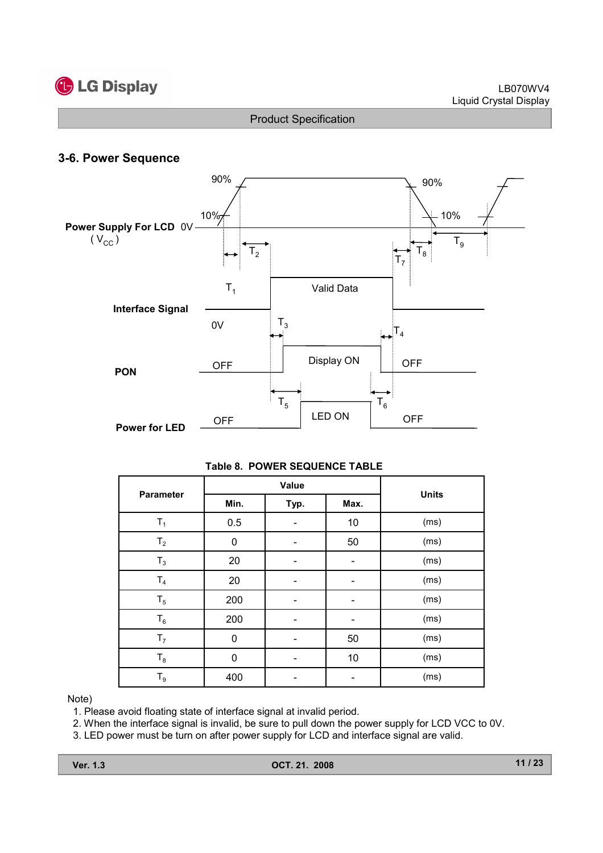

# 3-6. Power Sequence



#### Table 8. POWER SEQUENCE TABLE

|                  |             | Value |      | <b>Units</b> |  |  |
|------------------|-------------|-------|------|--------------|--|--|
| <b>Parameter</b> | Min.        | Typ.  | Max. |              |  |  |
| $T_1$            | 0.5         |       | 10   | (ms)         |  |  |
| $T_{2}$          | $\mathbf 0$ |       | 50   | (ms)         |  |  |
| $T_3$            | 20          |       |      | (ms)         |  |  |
| $T_4$            | 20          |       |      | (ms)         |  |  |
| $T_5$            | 200         |       |      | (ms)         |  |  |
| $T_6$            | 200         |       |      | (ms)         |  |  |
| T <sub>7</sub>   | $\mathbf 0$ |       | 50   | (ms)         |  |  |
| $T_8$            | 0           |       | 10   | (ms)         |  |  |
| $T_9$            | 400         |       |      | (ms)         |  |  |

#### Note)

1. Please avoid floating state of interface signal at invalid period.

2. When the interface signal is invalid, be sure to pull down the power supply for LCD VCC to 0V.

3. LED power must be turn on after power supply for LCD and interface signal are valid.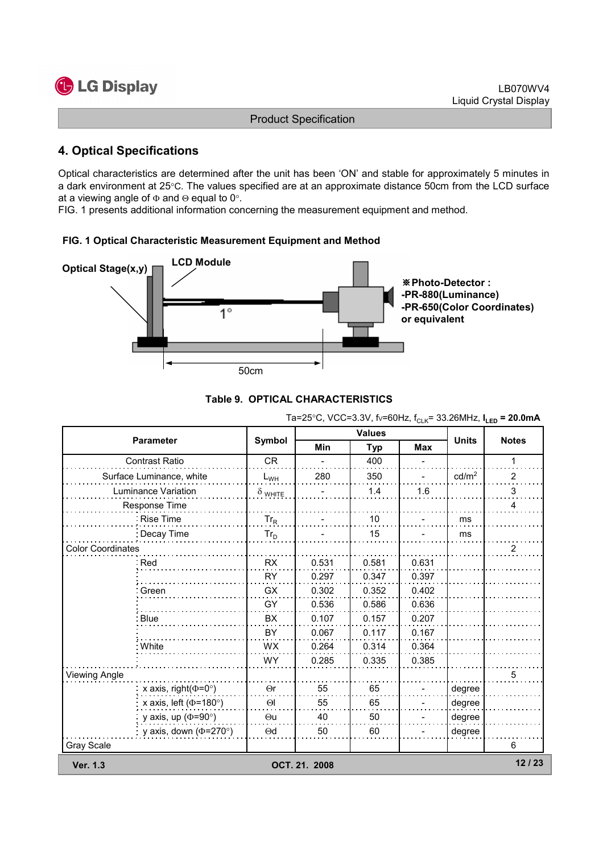

# 4. Optical Specifications

Optical characteristics are determined after the unit has been 'ON' and stable for approximately 5 minutes in a dark environment at 25°C. The values specified are at an approximate distance 50cm from the LCD surface at a viewing angle of  $\Phi$  and  $\Theta$  equal to 0°.

FIG. 1 presents additional information concerning the measurement equipment and method.

## FIG. 1 Optical Characteristic Measurement Equipment and Method





|                              |                                                                                                                             |               | <b>Values</b> |       |                   |                |
|------------------------------|-----------------------------------------------------------------------------------------------------------------------------|---------------|---------------|-------|-------------------|----------------|
| <b>Parameter</b>             | Symbol                                                                                                                      | <b>Min</b>    | <b>Typ</b>    | Max   | <b>Units</b>      | <b>Notes</b>   |
| Contrast Ratio               | <b>CR</b>                                                                                                                   |               | 400           |       |                   | 1              |
| Surface Luminance, white     | $L_{WH}$                                                                                                                    | 280           | 350           |       | cd/m <sup>2</sup> | $\overline{2}$ |
| Luminance Variation          | $\delta$ white                                                                                                              |               | 1.4           | 1.6   |                   | 3              |
| <b>Response Time</b>         |                                                                                                                             |               |               |       |                   | 4              |
| Rise Time                    | $Tr_R$                                                                                                                      |               | 10            |       | ms                |                |
| : Decay Time                 | $Tr_D$                                                                                                                      |               | 15            |       | ms                |                |
| <b>Color Coordinates</b>     |                                                                                                                             |               |               |       |                   | $\overline{2}$ |
| ∶Red                         | <b>RX</b>                                                                                                                   | 0.531         | 0.581         | 0.631 |                   |                |
|                              | <b>RY</b>                                                                                                                   | 0.297         | 0.347         | 0.397 |                   |                |
| : Green                      | GX                                                                                                                          | 0.302         | 0.352         | 0.402 |                   |                |
|                              | GY                                                                                                                          | 0.536         | 0.586         | 0.636 |                   |                |
| Blue                         | BX                                                                                                                          | 0.107         | 0.157         | 0.207 |                   |                |
|                              | BY<br>0.067<br><b>WX</b><br>0.264<br>0.285<br><b>WY</b><br>x axis, right( $\Phi$ =0°)<br>55<br>$\Theta$ r<br>55<br>$\Theta$ |               | 0.117         | 0.167 |                   |                |
| : White                      |                                                                                                                             |               | 0.314         | 0.364 |                   |                |
|                              |                                                                                                                             |               | 0.335         | 0.385 |                   |                |
| Viewing Angle                |                                                                                                                             |               |               |       |                   | 5              |
|                              |                                                                                                                             |               | 65            |       | degree            |                |
| x axis, left ( $\Phi$ =180°) |                                                                                                                             |               | 65            |       | degree            |                |
| y axis, up ( $\Phi$ =90°)    | $\Theta$ u                                                                                                                  | 40            | 50            |       | degree            |                |
| y axis, down ( $\Phi$ =270°) | $\Theta$ d                                                                                                                  | 50            | 60            |       | degree            |                |
| Gray Scale                   |                                                                                                                             |               |               |       |                   | 6              |
| <b>Ver. 1.3</b>              |                                                                                                                             | OCT. 21. 2008 |               |       |                   | 12/23          |

## Ta=25°C, VCC=3.3V,  $f_V = 60Hz$ ,  $f_C = 33.26MHz$ ,  $I_{Lep} = 20.0mA$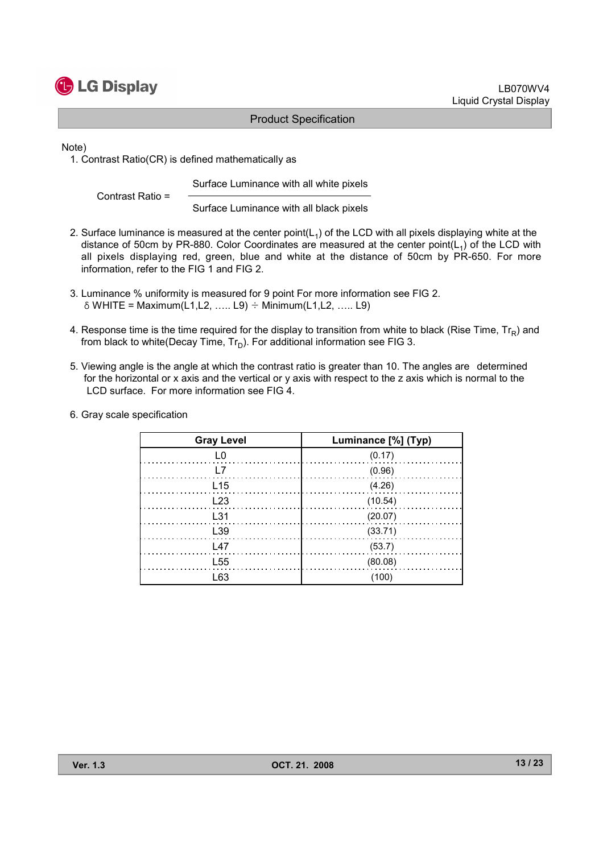

Note)

1. Contrast Ratio(CR) is defined mathematically as

Surface Luminance with all white pixels

Contrast Ratio =

Surface Luminance with all black pixels

- 2. Surface luminance is measured at the center point( $L_1$ ) of the LCD with all pixels displaying white at the distance of 50cm by PR-880. Color Coordinates are measured at the center point( $L_1$ ) of the LCD with all pixels displaying red, green, blue and white at the distance of 50cm by PR-650. For more information, refer to the FIG 1 and FIG 2.
- 3. Luminance % uniformity is measured for 9 point For more information see FIG 2.  $\delta$  WHITE = Maximum(L1,L2, ….. L9)  $\div$  Minimum(L1,L2, ….. L9)
- 4. Response time is the time required for the display to transition from white to black (Rise Time,  $Tr_R$ ) and from black to white(Decay Time,  $Tr_D$ ). For additional information see FIG 3.
- 5. Viewing angle is the angle at which the contrast ratio is greater than 10. The angles are determined for the horizontal or x axis and the vertical or y axis with respect to the z axis which is normal to the LCD surface. For more information see FIG 4.
- 6. Gray scale specification

| <b>Gray Level</b> | Luminance [%] (Typ) |
|-------------------|---------------------|
| 1 O               | (0.17)              |
| L7                | (0.96)              |
| L <sub>15</sub>   | (4.26)              |
| $\perp$ 23        | (10.54)             |
| L31               | (20.07)             |
| L <sub>39</sub>   | (33.71)             |
| $\lfloor 47$      | (53.7)              |
| L <sub>55</sub>   | (80.08)             |
| 63                | (100                |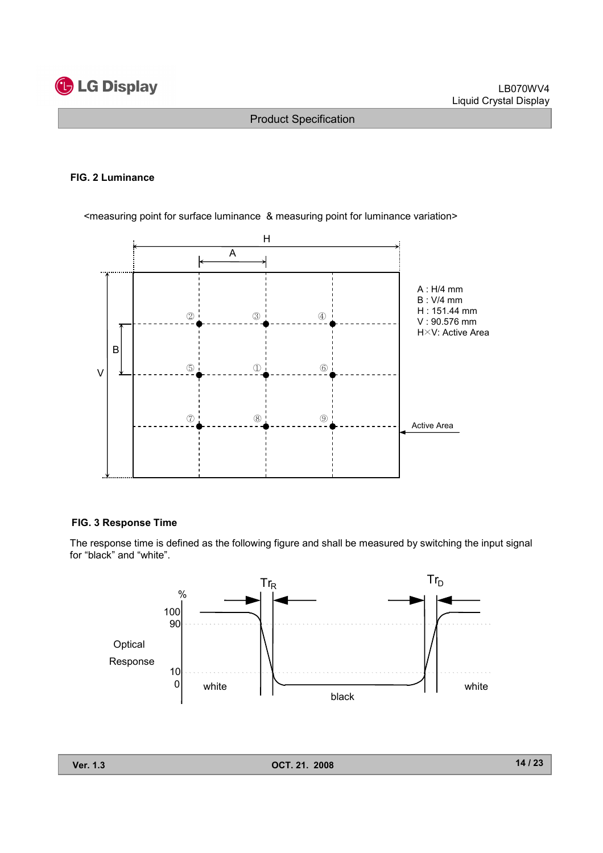

#### FIG. 2 Luminance

<measuring point for surface luminance & measuring point for luminance variation>



#### FIG. 3 Response Time

The response time is defined as the following figure and shall be measured by switching the input signal for "black" and "white".

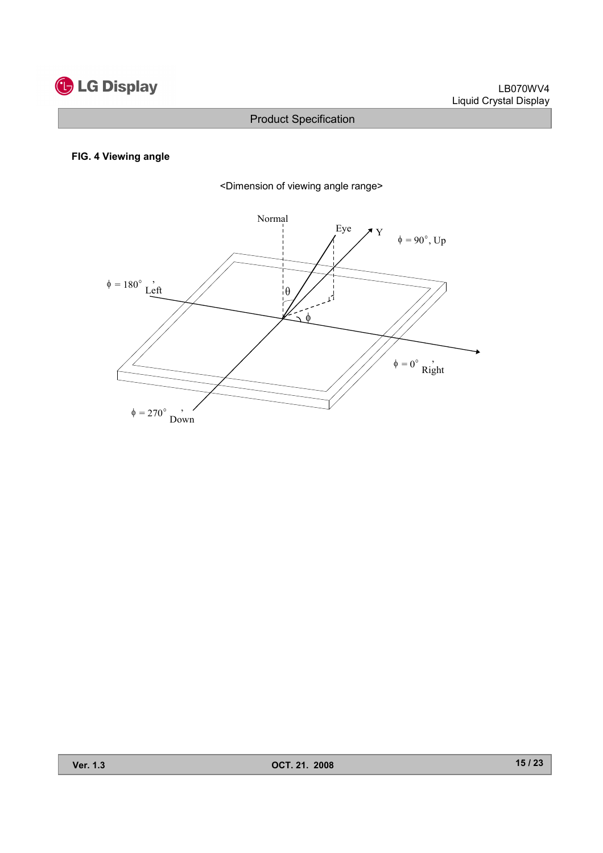

### FIG. 4 Viewing angle



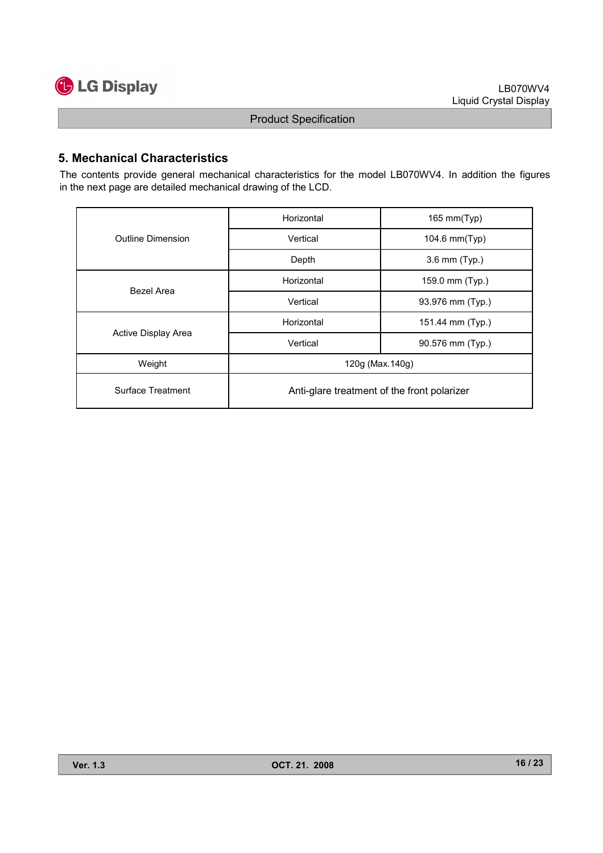

# 5. Mechanical Characteristics

The contents provide general mechanical characteristics for the model LB070WV4. In addition the figures in the next page are detailed mechanical drawing of the LCD.

|                     | Horizontal                                  | 165 mm(Typ)      |  |  |  |  |
|---------------------|---------------------------------------------|------------------|--|--|--|--|
| Outline Dimension   | Vertical                                    | 104.6 mm(Typ)    |  |  |  |  |
|                     | Depth                                       | 3.6 mm (Typ.)    |  |  |  |  |
|                     | Horizontal                                  | 159.0 mm (Typ.)  |  |  |  |  |
| Bezel Area          | Vertical                                    | 93.976 mm (Typ.) |  |  |  |  |
|                     | Horizontal                                  | 151.44 mm (Typ.) |  |  |  |  |
| Active Display Area | Vertical                                    | 90.576 mm (Typ.) |  |  |  |  |
| Weight              | 120g (Max.140g)                             |                  |  |  |  |  |
| Surface Treatment   | Anti-glare treatment of the front polarizer |                  |  |  |  |  |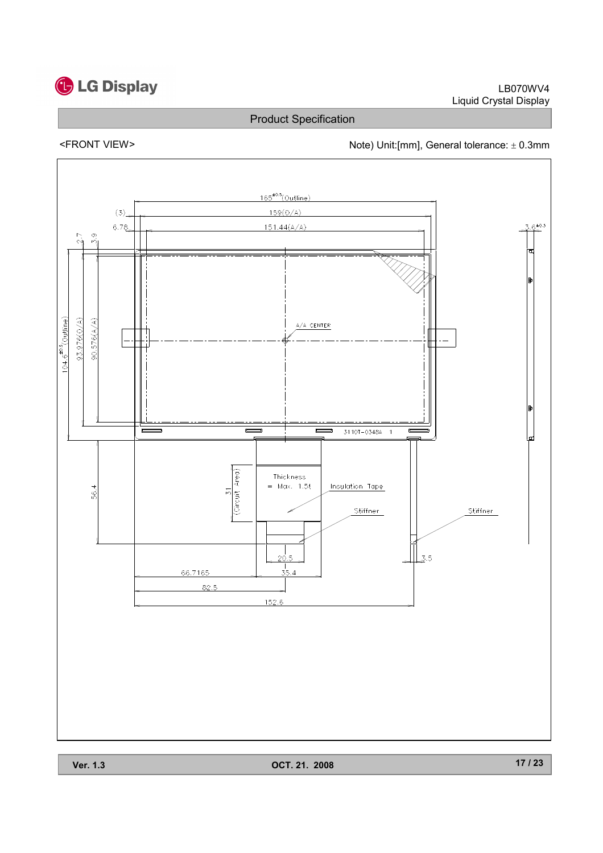# **C** LG Display

Product Specification

# <FRONT VIEW><br>Note) Unit:[mm], General tolerance: ± 0.3mm



Ver. 1.3 OCT. 21. 2008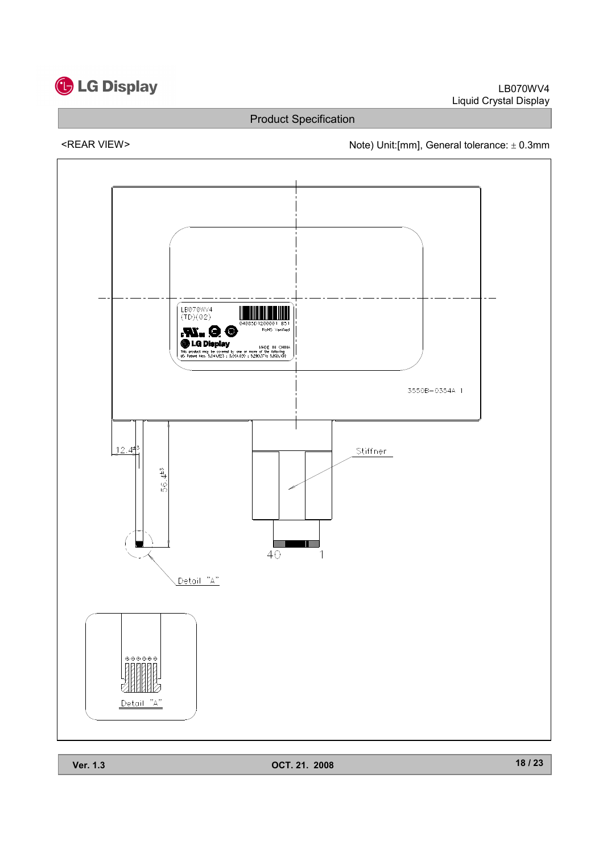

<REAR VIEW> Note) Unit:[mm], General tolerance: ± 0.3mm

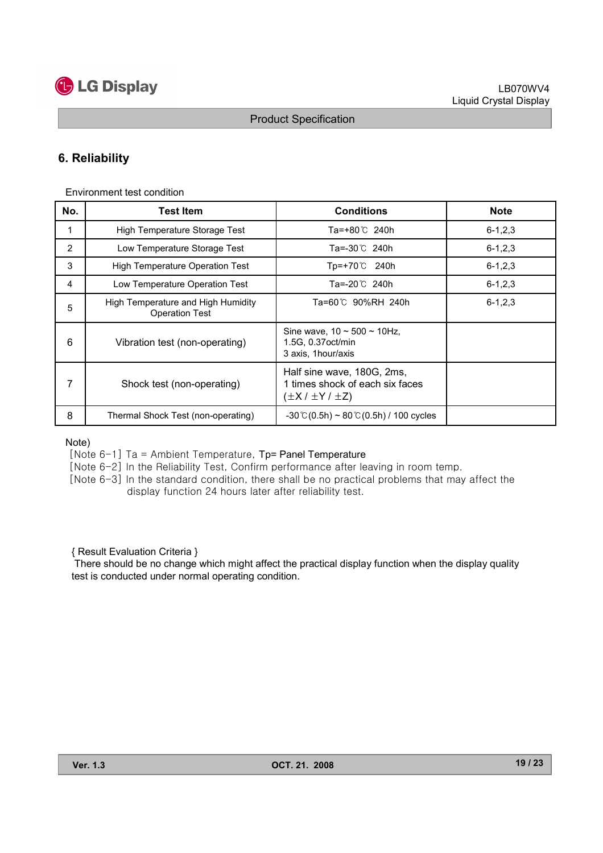# **C** LG Display

# 6. Reliability

Environment test condition

| No. | <b>Test Item</b>                                            | <b>Conditions</b>                                                                          | <b>Note</b>   |
|-----|-------------------------------------------------------------|--------------------------------------------------------------------------------------------|---------------|
|     | High Temperature Storage Test                               | Ta=+80℃ 240h                                                                               | $6 - 1, 2, 3$ |
| 2   | Low Temperature Storage Test                                | Ta=-30℃ 240h                                                                               | $6 - 1, 2, 3$ |
| 3   | <b>High Temperature Operation Test</b>                      | Tp=+70℃ 240h                                                                               | $6 - 1, 2, 3$ |
| 4   | Low Temperature Operation Test                              | Ta=-20℃ 240h                                                                               | $6 - 1, 2, 3$ |
| 5   | High Temperature and High Humidity<br><b>Operation Test</b> | Ta=60℃ 90%RH 240h                                                                          | $6 - 1, 2, 3$ |
| 6   | Vibration test (non-operating)                              | Sine wave, $10 \sim 500 \sim 10$ Hz,<br>1.5G, 0.37 oct/min<br>3 axis, 1 hour/axis          |               |
| 7   | Shock test (non-operating)                                  | Half sine wave, 180G, 2ms,<br>1 times shock of each six faces<br>$(\pm X / \pm Y / \pm Z)$ |               |
| 8   | Thermal Shock Test (non-operating)                          | $-30^{\circ}$ C(0.5h) ~ 80 $\circ$ C(0.5h) / 100 cycles                                    |               |

Note)

[Note  $6-1$ ] Ta = Ambient Temperature, Tp= Panel Temperature

[Note 6-2] In the Reliability Test, Confirm performance after leaving in room temp.

[Note 6-3] In the standard condition, there shall be no practical problems that may affect the display function 24 hours later after reliability test.

{ Result Evaluation Criteria }

There should be no change which might affect the practical display function when the display quality test is conducted under normal operating condition.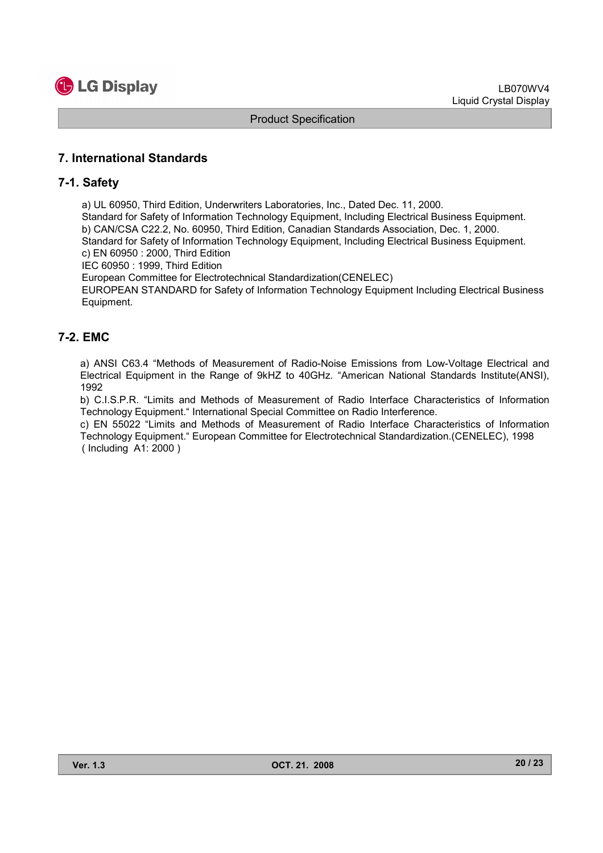

# 7. International Standards

## 7-1. Safety

a) UL 60950, Third Edition, Underwriters Laboratories, Inc., Dated Dec. 11, 2000.

Standard for Safety of Information Technology Equipment, Including Electrical Business Equipment. b) CAN/CSA C22.2, No. 60950, Third Edition, Canadian Standards Association, Dec. 1, 2000. Standard for Safety of Information Technology Equipment, Including Electrical Business Equipment. c) EN 60950 : 2000, Third Edition

IEC 60950 : 1999, Third Edition

European Committee for Electrotechnical Standardization(CENELEC)

EUROPEAN STANDARD for Safety of Information Technology Equipment Including Electrical Business Equipment.

## 7-2. EMC

a) ANSI C63.4 "Methods of Measurement of Radio-Noise Emissions from Low-Voltage Electrical and Electrical Equipment in the Range of 9kHZ to 40GHz. "American National Standards Institute(ANSI), 1992

b) C.I.S.P.R. "Limits and Methods of Measurement of Radio Interface Characteristics of Information Technology Equipment." International Special Committee on Radio Interference.

c) EN 55022 "Limits and Methods of Measurement of Radio Interface Characteristics of Information Technology Equipment." European Committee for Electrotechnical Standardization.(CENELEC), 1998 ( Including A1: 2000 )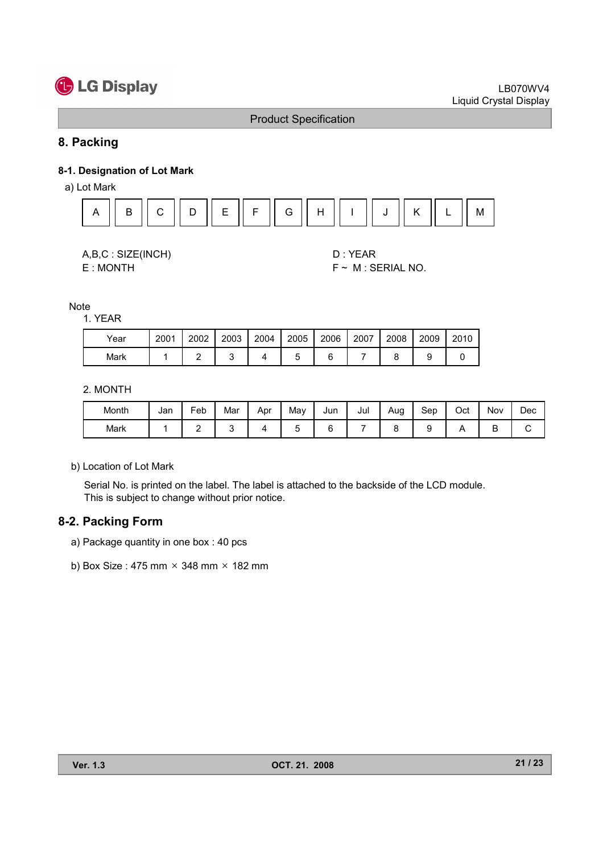# **C** LG Display

## Product Specification

# 8. Packing

## 8-1. Designation of Lot Mark

a) Lot Mark



| A,B,C: SIZE(INCH) |
|-------------------|
| E : MONTH         |

D : YEAR  $F \sim M$  : SERIAL NO.

**Note** 

#### 1. YEAR

| Year | 2001 | 2002 | 2003 | 2004 | 2005 | 2006 | 2007 | 2008 | 2009 | 2010 |
|------|------|------|------|------|------|------|------|------|------|------|
| Mark |      |      |      |      |      |      |      |      |      |      |

2. MONTH

| Month | Jan | Feb | Mar | Apr | May | Jun | Jul | Aug | Sep | Oct | Nov | Dec |
|-------|-----|-----|-----|-----|-----|-----|-----|-----|-----|-----|-----|-----|
| Mark  |     | -   |     |     |     |     |     |     |     |     | ◡   |     |

b) Location of Lot Mark

Serial No. is printed on the label. The label is attached to the backside of the LCD module. This is subject to change without prior notice.

## 8-2. Packing Form

- a) Package quantity in one box : 40 pcs
- b) Box Size: 475 mm  $\times$  348 mm  $\times$  182 mm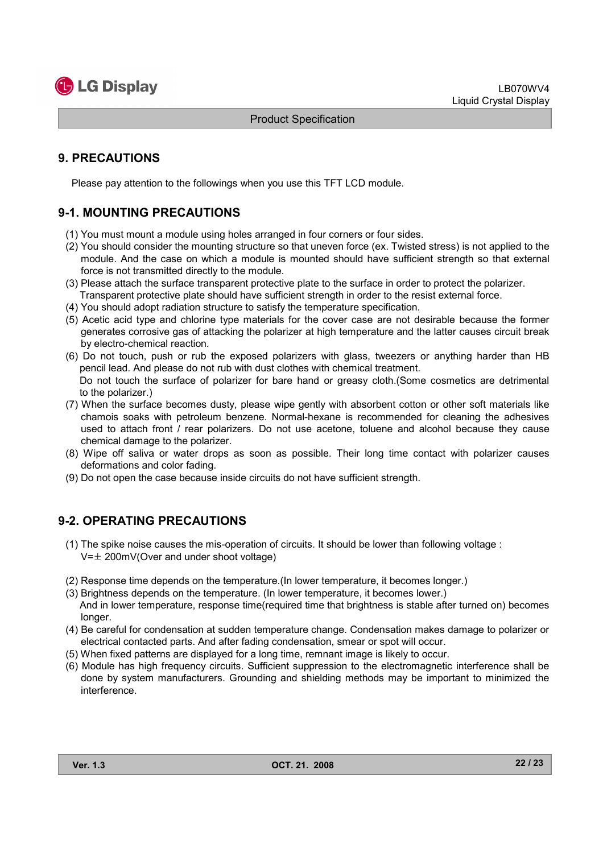

# 9. PRECAUTIONS

Please pay attention to the followings when you use this TFT LCD module.

# 9-1. MOUNTING PRECAUTIONS

- (1) You must mount a module using holes arranged in four corners or four sides.
- (2) You should consider the mounting structure so that uneven force (ex. Twisted stress) is not applied to the module. And the case on which a module is mounted should have sufficient strength so that external force is not transmitted directly to the module.
- (3) Please attach the surface transparent protective plate to the surface in order to protect the polarizer. Transparent protective plate should have sufficient strength in order to the resist external force.
- (4) You should adopt radiation structure to satisfy the temperature specification.
- (5) Acetic acid type and chlorine type materials for the cover case are not desirable because the former generates corrosive gas of attacking the polarizer at high temperature and the latter causes circuit break by electro-chemical reaction.
- (6) Do not touch, push or rub the exposed polarizers with glass, tweezers or anything harder than HB pencil lead. And please do not rub with dust clothes with chemical treatment. Do not touch the surface of polarizer for bare hand or greasy cloth.(Some cosmetics are detrimental to the polarizer.)
- (7) When the surface becomes dusty, please wipe gently with absorbent cotton or other soft materials like chamois soaks with petroleum benzene. Normal-hexane is recommended for cleaning the adhesives used to attach front / rear polarizers. Do not use acetone, toluene and alcohol because they cause chemical damage to the polarizer.
- (8) Wipe off saliva or water drops as soon as possible. Their long time contact with polarizer causes deformations and color fading.
- (9) Do not open the case because inside circuits do not have sufficient strength.

# 9-2. OPERATING PRECAUTIONS

- (1) The spike noise causes the mis-operation of circuits. It should be lower than following voltage :  $V=\pm 200$ mV(Over and under shoot voltage)
- (2) Response time depends on the temperature.(In lower temperature, it becomes longer.)
- (3) Brightness depends on the temperature. (In lower temperature, it becomes lower.) And in lower temperature, response time(required time that brightness is stable after turned on) becomes longer.
- (4) Be careful for condensation at sudden temperature change. Condensation makes damage to polarizer or electrical contacted parts. And after fading condensation, smear or spot will occur.
- (5) When fixed patterns are displayed for a long time, remnant image is likely to occur.
- (6) Module has high frequency circuits. Sufficient suppression to the electromagnetic interference shall be done by system manufacturers. Grounding and shielding methods may be important to minimized the interference.